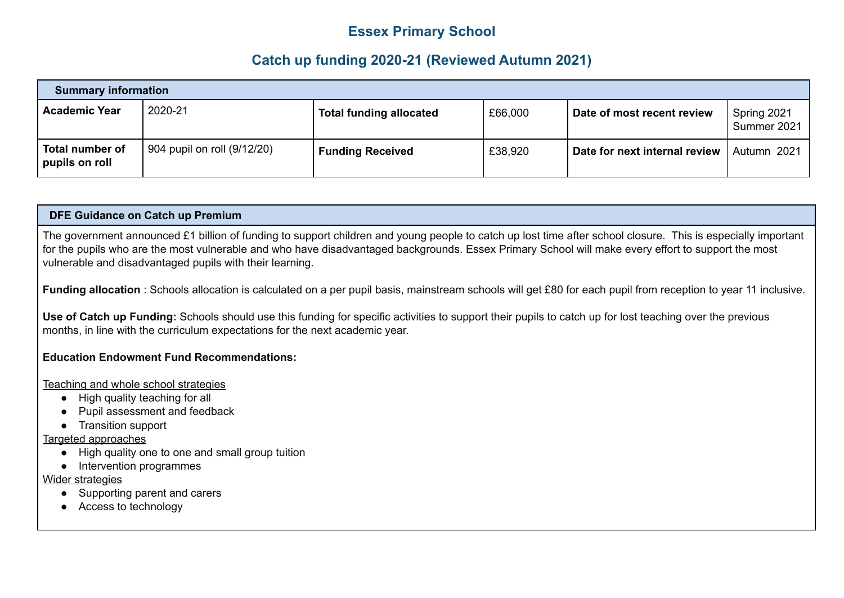## **Essex Primary School**

## **Catch up funding 2020-21 (Reviewed Autumn 2021)**

| <b>Summary information</b>            |                             |                                |         |                               |                            |
|---------------------------------------|-----------------------------|--------------------------------|---------|-------------------------------|----------------------------|
| Academic Year                         | 2020-21                     | <b>Total funding allocated</b> | £66,000 | Date of most recent review    | Spring 2021<br>Summer 2021 |
| Total number of<br>$ $ pupils on roll | 904 pupil on roll (9/12/20) | <b>Funding Received</b>        | £38,920 | Date for next internal review | Autumn 2021                |

## **DFE Guidance on Catch up Premium**

The government announced £1 billion of funding to support children and young people to catch up lost time after school closure. This is especially important for the pupils who are the most vulnerable and who have disadvantaged backgrounds. Essex Primary School will make every effort to support the most vulnerable and disadvantaged pupils with their learning.

**Funding allocation** : Schools allocation is calculated on a per pupil basis, mainstream schools will get £80 for each pupil from reception to year 11 inclusive.

**Use of Catch up Funding:** Schools should use this funding for specific activities to support their pupils to catch up for lost teaching over the previous months, in line with the curriculum expectations for the next academic year.

## **Education Endowment Fund Recommendations:**

Teaching and whole school strategies

- High quality teaching for all
- Pupil assessment and feedback
- Transition support

Targeted approaches

- High quality one to one and small group tuition
- Intervention programmes

Wider strategies

- Supporting parent and carers
- Access to technology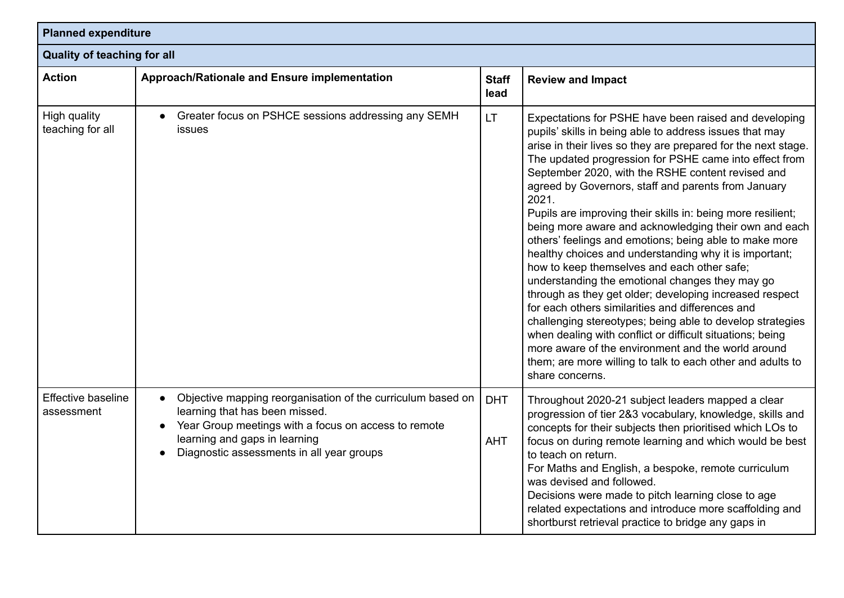| <b>Planned expenditure</b><br><b>Quality of teaching for all</b> |                                                                                                                                                                                                                                     |                          |                                                                                                                                                                                                                                                                                                                                                                                                                                                                                                                                                                                                                                                                                                                                                                                                                                                                                                                                                                                                                                                                                                |  |
|------------------------------------------------------------------|-------------------------------------------------------------------------------------------------------------------------------------------------------------------------------------------------------------------------------------|--------------------------|------------------------------------------------------------------------------------------------------------------------------------------------------------------------------------------------------------------------------------------------------------------------------------------------------------------------------------------------------------------------------------------------------------------------------------------------------------------------------------------------------------------------------------------------------------------------------------------------------------------------------------------------------------------------------------------------------------------------------------------------------------------------------------------------------------------------------------------------------------------------------------------------------------------------------------------------------------------------------------------------------------------------------------------------------------------------------------------------|--|
|                                                                  |                                                                                                                                                                                                                                     |                          |                                                                                                                                                                                                                                                                                                                                                                                                                                                                                                                                                                                                                                                                                                                                                                                                                                                                                                                                                                                                                                                                                                |  |
| High quality<br>teaching for all                                 | Greater focus on PSHCE sessions addressing any SEMH<br><b>issues</b>                                                                                                                                                                | LT                       | Expectations for PSHE have been raised and developing<br>pupils' skills in being able to address issues that may<br>arise in their lives so they are prepared for the next stage.<br>The updated progression for PSHE came into effect from<br>September 2020, with the RSHE content revised and<br>agreed by Governors, staff and parents from January<br>2021.<br>Pupils are improving their skills in: being more resilient;<br>being more aware and acknowledging their own and each<br>others' feelings and emotions; being able to make more<br>healthy choices and understanding why it is important;<br>how to keep themselves and each other safe;<br>understanding the emotional changes they may go<br>through as they get older; developing increased respect<br>for each others similarities and differences and<br>challenging stereotypes; being able to develop strategies<br>when dealing with conflict or difficult situations; being<br>more aware of the environment and the world around<br>them; are more willing to talk to each other and adults to<br>share concerns. |  |
| Effective baseline<br>assessment                                 | Objective mapping reorganisation of the curriculum based on<br>learning that has been missed.<br>Year Group meetings with a focus on access to remote<br>learning and gaps in learning<br>Diagnostic assessments in all year groups | <b>DHT</b><br><b>AHT</b> | Throughout 2020-21 subject leaders mapped a clear<br>progression of tier 2&3 vocabulary, knowledge, skills and<br>concepts for their subjects then prioritised which LOs to<br>focus on during remote learning and which would be best<br>to teach on return.<br>For Maths and English, a bespoke, remote curriculum<br>was devised and followed.<br>Decisions were made to pitch learning close to age<br>related expectations and introduce more scaffolding and<br>shortburst retrieval practice to bridge any gaps in                                                                                                                                                                                                                                                                                                                                                                                                                                                                                                                                                                      |  |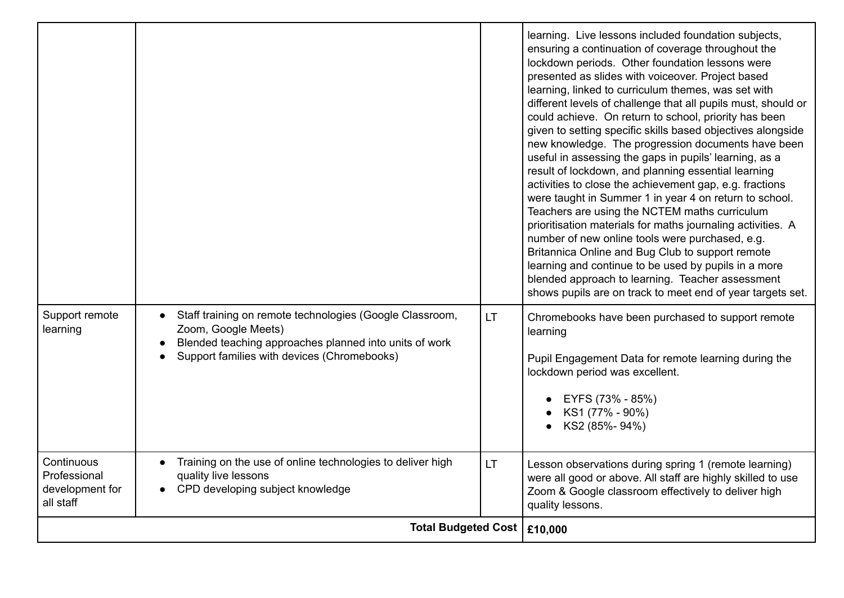| Support remote<br>learning                                 | Staff training on remote technologies (Google Classroom,<br>Zoom, Google Meets)<br>Blended teaching approaches planned into units of work<br>Support families with devices (Chromebooks) | <b>LT</b> | learning. Live lessons included foundation subjects,<br>ensuring a continuation of coverage throughout the<br>lockdown periods. Other foundation lessons were<br>presented as slides with voiceover. Project based<br>learning, linked to curriculum themes, was set with<br>different levels of challenge that all pupils must, should or<br>could achieve. On return to school, priority has been<br>given to setting specific skills based objectives alongside<br>new knowledge. The progression documents have been<br>useful in assessing the gaps in pupils' learning, as a<br>result of lockdown, and planning essential learning<br>activities to close the achievement gap, e.g. fractions<br>were taught in Summer 1 in year 4 on return to school.<br>Teachers are using the NCTEM maths curriculum<br>prioritisation materials for maths journaling activities. A<br>number of new online tools were purchased, e.g.<br>Britannica Online and Bug Club to support remote<br>learning and continue to be used by pupils in a more<br>blended approach to learning. Teacher assessment<br>shows pupils are on track to meet end of year targets set.<br>Chromebooks have been purchased to support remote<br>learning<br>Pupil Engagement Data for remote learning during the<br>lockdown period was excellent.<br>EYFS (73% - 85%)<br>• KS1 $(77\% - 90\%)$<br>KS2 (85%-94%) |
|------------------------------------------------------------|------------------------------------------------------------------------------------------------------------------------------------------------------------------------------------------|-----------|------------------------------------------------------------------------------------------------------------------------------------------------------------------------------------------------------------------------------------------------------------------------------------------------------------------------------------------------------------------------------------------------------------------------------------------------------------------------------------------------------------------------------------------------------------------------------------------------------------------------------------------------------------------------------------------------------------------------------------------------------------------------------------------------------------------------------------------------------------------------------------------------------------------------------------------------------------------------------------------------------------------------------------------------------------------------------------------------------------------------------------------------------------------------------------------------------------------------------------------------------------------------------------------------------------------------------------------------------------------------------------------|
| Continuous<br>Professional<br>development for<br>all staff | Training on the use of online technologies to deliver high<br>quality live lessons<br>CPD developing subject knowledge                                                                   | LT.       | Lesson observations during spring 1 (remote learning)<br>were all good or above. All staff are highly skilled to use<br>Zoom & Google classroom effectively to deliver high<br>quality lessons.                                                                                                                                                                                                                                                                                                                                                                                                                                                                                                                                                                                                                                                                                                                                                                                                                                                                                                                                                                                                                                                                                                                                                                                          |
| <b>Total Budgeted Cost</b>                                 |                                                                                                                                                                                          | £10,000   |                                                                                                                                                                                                                                                                                                                                                                                                                                                                                                                                                                                                                                                                                                                                                                                                                                                                                                                                                                                                                                                                                                                                                                                                                                                                                                                                                                                          |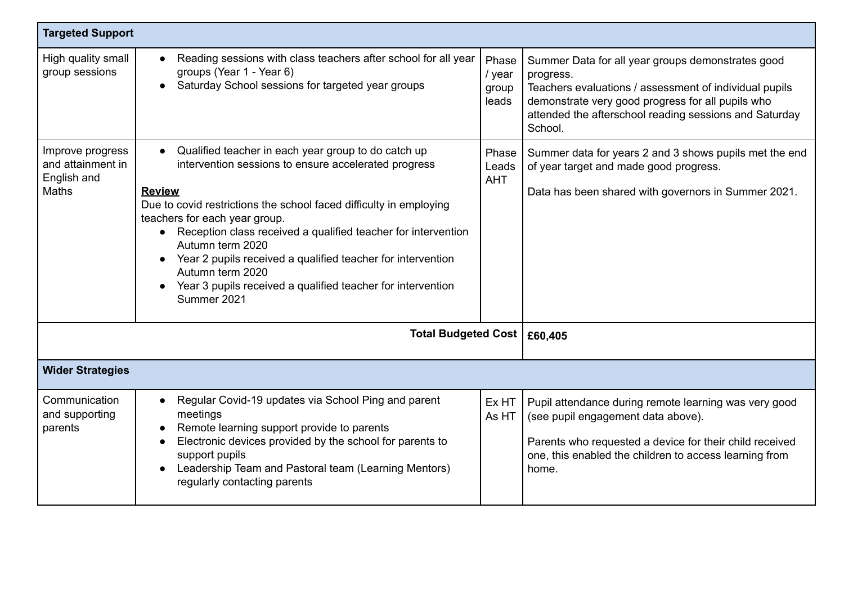| <b>Targeted Support</b>                                       |                                                                                                                                                                                                                                                                                                                                                                                                                                                                                                        |                                   |                                                                                                                                                                                                                                                    |  |
|---------------------------------------------------------------|--------------------------------------------------------------------------------------------------------------------------------------------------------------------------------------------------------------------------------------------------------------------------------------------------------------------------------------------------------------------------------------------------------------------------------------------------------------------------------------------------------|-----------------------------------|----------------------------------------------------------------------------------------------------------------------------------------------------------------------------------------------------------------------------------------------------|--|
| High quality small<br>group sessions                          | Reading sessions with class teachers after school for all year<br>$\bullet$<br>groups (Year 1 - Year 6)<br>Saturday School sessions for targeted year groups<br>$\bullet$                                                                                                                                                                                                                                                                                                                              | Phase<br>/ year<br>group<br>leads | Summer Data for all year groups demonstrates good<br>progress.<br>Teachers evaluations / assessment of individual pupils<br>demonstrate very good progress for all pupils who<br>attended the afterschool reading sessions and Saturday<br>School. |  |
| Improve progress<br>and attainment in<br>English and<br>Maths | Qualified teacher in each year group to do catch up<br>$\bullet$<br>intervention sessions to ensure accelerated progress<br><b>Review</b><br>Due to covid restrictions the school faced difficulty in employing<br>teachers for each year group.<br>Reception class received a qualified teacher for intervention<br>Autumn term 2020<br>Year 2 pupils received a qualified teacher for intervention<br>Autumn term 2020<br>Year 3 pupils received a qualified teacher for intervention<br>Summer 2021 | Phase<br>Leads<br><b>AHT</b>      | Summer data for years 2 and 3 shows pupils met the end<br>of year target and made good progress.<br>Data has been shared with governors in Summer 2021.                                                                                            |  |
| Total Budgeted Cost   £60,405                                 |                                                                                                                                                                                                                                                                                                                                                                                                                                                                                                        |                                   |                                                                                                                                                                                                                                                    |  |
| <b>Wider Strategies</b>                                       |                                                                                                                                                                                                                                                                                                                                                                                                                                                                                                        |                                   |                                                                                                                                                                                                                                                    |  |
| Communication<br>and supporting<br>parents                    | Regular Covid-19 updates via School Ping and parent<br>$\bullet$<br>meetings<br>Remote learning support provide to parents<br>Electronic devices provided by the school for parents to<br>support pupils<br>Leadership Team and Pastoral team (Learning Mentors)<br>regularly contacting parents                                                                                                                                                                                                       | Ex HT<br>As HT                    | Pupil attendance during remote learning was very good<br>(see pupil engagement data above).<br>Parents who requested a device for their child received<br>one, this enabled the children to access learning from<br>home.                          |  |